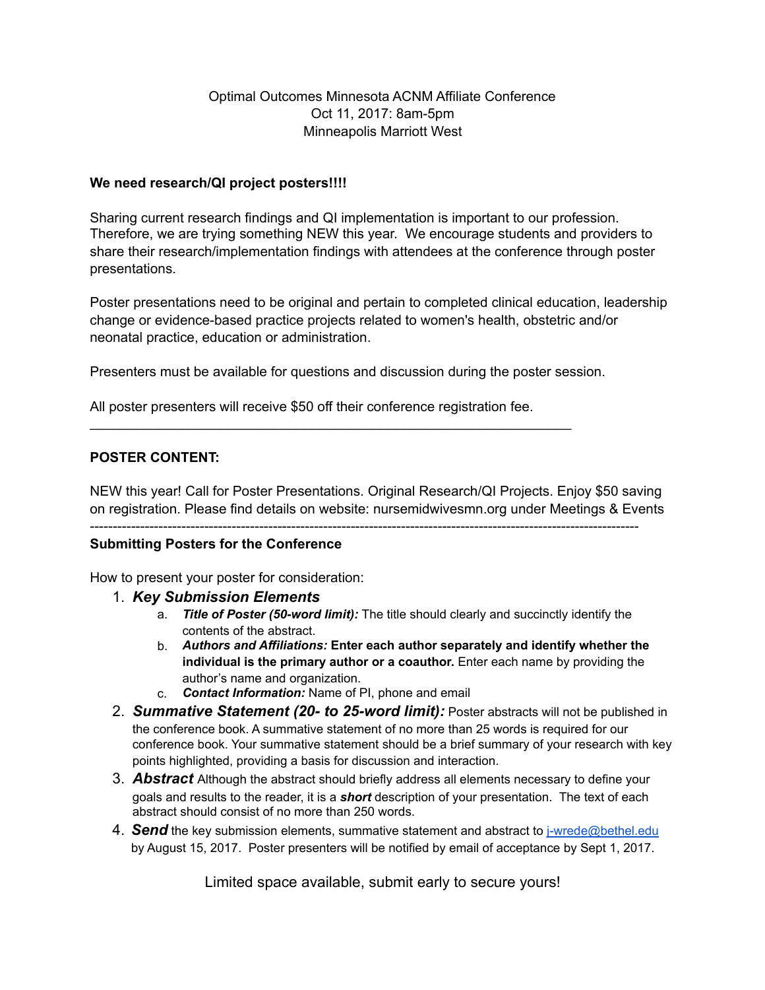## Optimal Outcomes Minnesota ACNM Affiliate Conference Oct 11, 2017: 8am-5pm Minneapolis Marriott West

#### **We need research/QI project posters!!!!**

Sharing current research findings and QI implementation is important to our profession. Therefore, we are trying something NEW this year. We encourage students and providers to share their research/implementation findings with attendees at the conference through poster presentations.

Poster presentations need to be original and pertain to completed clinical education, leadership change or evidence-based practice projects related to women's health, obstetric and/or neonatal practice, education or administration.

Presenters must be available for questions and discussion during the poster session.

All poster presenters will receive \$50 off their conference registration fee.

\_\_\_\_\_\_\_\_\_\_\_\_\_\_\_\_\_\_\_\_\_\_\_\_\_\_\_\_\_\_\_\_\_\_\_\_\_\_\_\_\_\_\_\_\_\_\_\_\_\_\_\_\_\_\_\_\_\_\_\_\_\_\_

### **POSTER CONTENT:**

NEW this year! Call for Poster Presentations. Original Research/QI Projects. Enjoy \$50 saving on registration. Please find details on website: nursemidwivesmn.org under Meetings & Events

#### ------------------------------------------------------------------------------------------------------------------------ **Submitting Posters for the Conference**

How to present your poster for consideration:

- 1. *Key Submission Elements* 
	- a. *Title of Poster (50-word limit):* The title should clearly and succinctly identify the contents of the abstract.
	- b. *Authors and Affiliations:* **Enter each author separately and identify whether the individual is the primary author or a coauthor.** Enter each name by providing the author's name and organization.
	- c. *Contact Information:* Name of PI, phone and email
- 2. *Summative Statement (20- to 25-word limit):* Poster abstracts will not be published in the conference book. A summative statement of no more than 25 words is required for our conference book. Your summative statement should be a brief summary of your research with key points highlighted, providing a basis for discussion and interaction.
- 3. *Abstract* Although the abstract should briefly address all elements necessary to define your goals and results to the reader, it is a *short* description of your presentation. The text of each abstract should consist of no more than 250 words.
- 4. *Send* the key submission elements, summative statement and abstract to [j-wrede@bethel.edu](mailto:j-wrede@bethel.edu) by August 15, 2017. Poster presenters will be notified by email of acceptance by Sept 1, 2017.

Limited space available, submit early to secure yours!